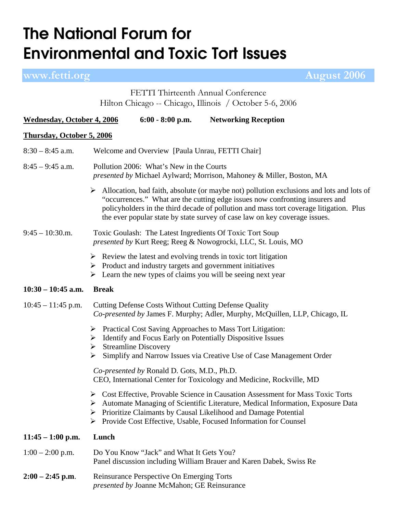## **The National Forum for Environmental and Toxic Tort Issues**

**www.fetti.org August 2006** 

FETTI Thirteenth Annual Conference Hilton Chicago -- Chicago, Illinois / October 5-6, 2006

| <b>Wednesday, October 4, 2006</b> |                                                                                                                           | $6:00 - 8:00$ p.m.                                                                              | <b>Networking Reception</b>                                                                                                                                                                                                                                                                                                                                       |  |  |
|-----------------------------------|---------------------------------------------------------------------------------------------------------------------------|-------------------------------------------------------------------------------------------------|-------------------------------------------------------------------------------------------------------------------------------------------------------------------------------------------------------------------------------------------------------------------------------------------------------------------------------------------------------------------|--|--|
| <b>Thursday, October 5, 2006</b>  |                                                                                                                           |                                                                                                 |                                                                                                                                                                                                                                                                                                                                                                   |  |  |
| $8:30 - 8:45$ a.m.                | Welcome and Overview [Paula Unrau, FETTI Chair]                                                                           |                                                                                                 |                                                                                                                                                                                                                                                                                                                                                                   |  |  |
| $8:45 - 9:45$ a.m.                | Pollution 2006: What's New in the Courts<br>presented by Michael Aylward; Morrison, Mahoney & Miller, Boston, MA          |                                                                                                 |                                                                                                                                                                                                                                                                                                                                                                   |  |  |
|                                   |                                                                                                                           |                                                                                                 | $\triangleright$ Allocation, bad faith, absolute (or maybe not) pollution exclusions and lots and lots of<br>"occurrences." What are the cutting edge issues now confronting insurers and<br>policyholders in the third decade of pollution and mass tort coverage litigation. Plus<br>the ever popular state by state survey of case law on key coverage issues. |  |  |
| $9:45 - 10:30 \ldots$             | Toxic Goulash: The Latest Ingredients Of Toxic Tort Soup<br>presented by Kurt Reeg; Reeg & Nowogrocki, LLC, St. Louis, MO |                                                                                                 |                                                                                                                                                                                                                                                                                                                                                                   |  |  |
|                                   |                                                                                                                           |                                                                                                 | $\triangleright$ Review the latest and evolving trends in toxic tort litigation<br>$\triangleright$ Product and industry targets and government initiatives<br>$\triangleright$ Learn the new types of claims you will be seeing next year                                                                                                                        |  |  |
| $10:30 - 10:45$ a.m.              | <b>Break</b>                                                                                                              |                                                                                                 |                                                                                                                                                                                                                                                                                                                                                                   |  |  |
| $10:45 - 11:45$ p.m.              |                                                                                                                           | <b>Cutting Defense Costs Without Cutting Defense Quality</b>                                    | Co-presented by James F. Murphy; Adler, Murphy, McQuillen, LLP, Chicago, IL                                                                                                                                                                                                                                                                                       |  |  |
|                                   | <b>Streamline Discovery</b><br>➤<br>➤                                                                                     |                                                                                                 | > Practical Cost Saving Approaches to Mass Tort Litigation:<br>$\triangleright$ Identify and Focus Early on Potentially Dispositive Issues<br>Simplify and Narrow Issues via Creative Use of Case Management Order                                                                                                                                                |  |  |
|                                   |                                                                                                                           | Co-presented by Ronald D. Gots, M.D., Ph.D.                                                     | CEO, International Center for Toxicology and Medicine, Rockville, MD                                                                                                                                                                                                                                                                                              |  |  |
|                                   |                                                                                                                           |                                                                                                 | Solution 2.5 Cost Effective, Provable Science in Causation Assessment for Mass Toxic Torts<br>Automate Managing of Scientific Literature, Medical Information, Exposure Data<br>Prioritize Claimants by Causal Likelihood and Damage Potential<br>> Provide Cost Effective, Usable, Focused Information for Counsel                                               |  |  |
| $11:45 - 1:00$ p.m.               | Lunch                                                                                                                     |                                                                                                 |                                                                                                                                                                                                                                                                                                                                                                   |  |  |
| $1:00 - 2:00$ p.m.                |                                                                                                                           | Do You Know "Jack" and What It Gets You?                                                        | Panel discussion including William Brauer and Karen Dabek, Swiss Re                                                                                                                                                                                                                                                                                               |  |  |
| $2:00 - 2:45$ p.m.                |                                                                                                                           | Reinsurance Perspective On Emerging Torts<br><i>presented by Joanne McMahon; GE Reinsurance</i> |                                                                                                                                                                                                                                                                                                                                                                   |  |  |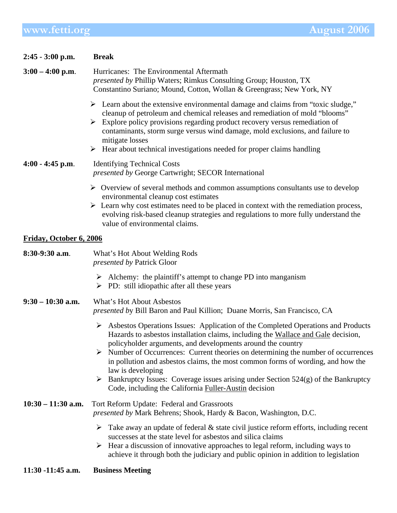## **www.fetti.org** August 2006

| $2:45 - 3:00$ p.m.      | <b>Break</b>                                                                                                                                                                                                                                                                                                                                                                                                                                                                                                                                                                                             |  |  |  |
|-------------------------|----------------------------------------------------------------------------------------------------------------------------------------------------------------------------------------------------------------------------------------------------------------------------------------------------------------------------------------------------------------------------------------------------------------------------------------------------------------------------------------------------------------------------------------------------------------------------------------------------------|--|--|--|
| $3:00 - 4:00$ p.m.      | Hurricanes: The Environmental Aftermath<br>presented by Phillip Waters; Rimkus Consulting Group; Houston, TX<br>Constantino Suriano; Mound, Cotton, Wollan & Greengrass; New York, NY                                                                                                                                                                                                                                                                                                                                                                                                                    |  |  |  |
|                         | $\triangleright$ Learn about the extensive environmental damage and claims from "toxic sludge,"<br>cleanup of petroleum and chemical releases and remediation of mold "blooms"<br>Explore policy provisions regarding product recovery versus remediation of<br>➤<br>contaminants, storm surge versus wind damage, mold exclusions, and failure to<br>mitigate losses<br>$\triangleright$ Hear about technical investigations needed for proper claims handling                                                                                                                                          |  |  |  |
| $4:00 - 4:45$ p.m.      | <b>Identifying Technical Costs</b><br><i>presented by George Cartwright; SECOR International</i>                                                                                                                                                                                                                                                                                                                                                                                                                                                                                                         |  |  |  |
|                         | $\triangleright$ Overview of several methods and common assumptions consultants use to develop<br>environmental cleanup cost estimates<br>$\triangleright$ Learn why cost estimates need to be placed in context with the remediation process,<br>evolving risk-based cleanup strategies and regulations to more fully understand the<br>value of environmental claims.                                                                                                                                                                                                                                  |  |  |  |
| Friday, October 6, 2006 |                                                                                                                                                                                                                                                                                                                                                                                                                                                                                                                                                                                                          |  |  |  |
| 8:30-9:30 a.m.          | What's Hot About Welding Rods<br><i>presented by Patrick Gloor</i>                                                                                                                                                                                                                                                                                                                                                                                                                                                                                                                                       |  |  |  |
|                         | $\triangleright$ Alchemy: the plaintiff's attempt to change PD into manganism<br>$\triangleright$ PD: still idiopathic after all these years                                                                                                                                                                                                                                                                                                                                                                                                                                                             |  |  |  |
| $9:30 - 10:30$ a.m.     | What's Hot About Asbestos<br>presented by Bill Baron and Paul Killion; Duane Morris, San Francisco, CA                                                                                                                                                                                                                                                                                                                                                                                                                                                                                                   |  |  |  |
|                         | > Asbestos Operations Issues: Application of the Completed Operations and Products<br>Hazards to asbestos installation claims, including the Wallace and Gale decision,<br>policyholder arguments, and developments around the country<br>$\triangleright$ Number of Occurrences: Current theories on determining the number of occurrences<br>in pollution and asbestos claims, the most common forms of wording, and how the<br>law is developing<br>Bankruptcy Issues: Coverage issues arising under Section $524(g)$ of the Bankruptcy<br>➤<br>Code, including the California Fuller-Austin decision |  |  |  |
| $10:30 - 11:30$ a.m.    | Tort Reform Update: Federal and Grassroots<br>presented by Mark Behrens; Shook, Hardy & Bacon, Washington, D.C.                                                                                                                                                                                                                                                                                                                                                                                                                                                                                          |  |  |  |
|                         | Take away an update of federal & state civil justice reform efforts, including recent<br>➤<br>successes at the state level for asbestos and silica claims<br>$\triangleright$ Hear a discussion of innovative approaches to legal reform, including ways to<br>achieve it through both the judiciary and public opinion in addition to legislation                                                                                                                                                                                                                                                       |  |  |  |
| 11:30 -11:45 a.m.       | <b>Business Meeting</b>                                                                                                                                                                                                                                                                                                                                                                                                                                                                                                                                                                                  |  |  |  |